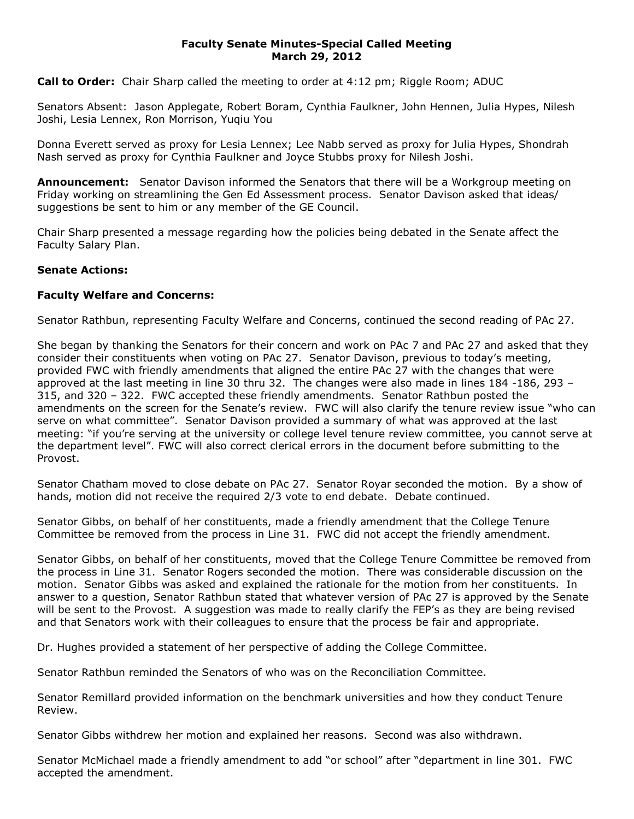## **Faculty Senate Minutes-Special Called Meeting March 29, 2012**

**Call to Order:** Chair Sharp called the meeting to order at 4:12 pm; Riggle Room; ADUC

Senators Absent: Jason Applegate, Robert Boram, Cynthia Faulkner, John Hennen, Julia Hypes, Nilesh Joshi, Lesia Lennex, Ron Morrison, Yuqiu You

Donna Everett served as proxy for Lesia Lennex; Lee Nabb served as proxy for Julia Hypes, Shondrah Nash served as proxy for Cynthia Faulkner and Joyce Stubbs proxy for Nilesh Joshi.

**Announcement:** Senator Davison informed the Senators that there will be a Workgroup meeting on Friday working on streamlining the Gen Ed Assessment process. Senator Davison asked that ideas/ suggestions be sent to him or any member of the GE Council.

Chair Sharp presented a message regarding how the policies being debated in the Senate affect the Faculty Salary Plan.

## **Senate Actions:**

## **Faculty Welfare and Concerns:**

Senator Rathbun, representing Faculty Welfare and Concerns, continued the second reading of PAc 27.

She began by thanking the Senators for their concern and work on PAc 7 and PAc 27 and asked that they consider their constituents when voting on PAc 27. Senator Davison, previous to today's meeting, provided FWC with friendly amendments that aligned the entire PAc 27 with the changes that were approved at the last meeting in line 30 thru 32. The changes were also made in lines 184 -186, 293 – 315, and 320 – 322. FWC accepted these friendly amendments. Senator Rathbun posted the amendments on the screen for the Senate's review. FWC will also clarify the tenure review issue "who can serve on what committee". Senator Davison provided a summary of what was approved at the last meeting: "if you're serving at the university or college level tenure review committee, you cannot serve at the department level". FWC will also correct clerical errors in the document before submitting to the Provost.

Senator Chatham moved to close debate on PAc 27. Senator Royar seconded the motion. By a show of hands, motion did not receive the required 2/3 vote to end debate. Debate continued.

Senator Gibbs, on behalf of her constituents, made a friendly amendment that the College Tenure Committee be removed from the process in Line 31. FWC did not accept the friendly amendment.

Senator Gibbs, on behalf of her constituents, moved that the College Tenure Committee be removed from the process in Line 31. Senator Rogers seconded the motion. There was considerable discussion on the motion. Senator Gibbs was asked and explained the rationale for the motion from her constituents. In answer to a question, Senator Rathbun stated that whatever version of PAc 27 is approved by the Senate will be sent to the Provost. A suggestion was made to really clarify the FEP's as they are being revised and that Senators work with their colleagues to ensure that the process be fair and appropriate.

Dr. Hughes provided a statement of her perspective of adding the College Committee.

Senator Rathbun reminded the Senators of who was on the Reconciliation Committee.

Senator Remillard provided information on the benchmark universities and how they conduct Tenure Review.

Senator Gibbs withdrew her motion and explained her reasons. Second was also withdrawn.

Senator McMichael made a friendly amendment to add "or school" after "department in line 301. FWC accepted the amendment.